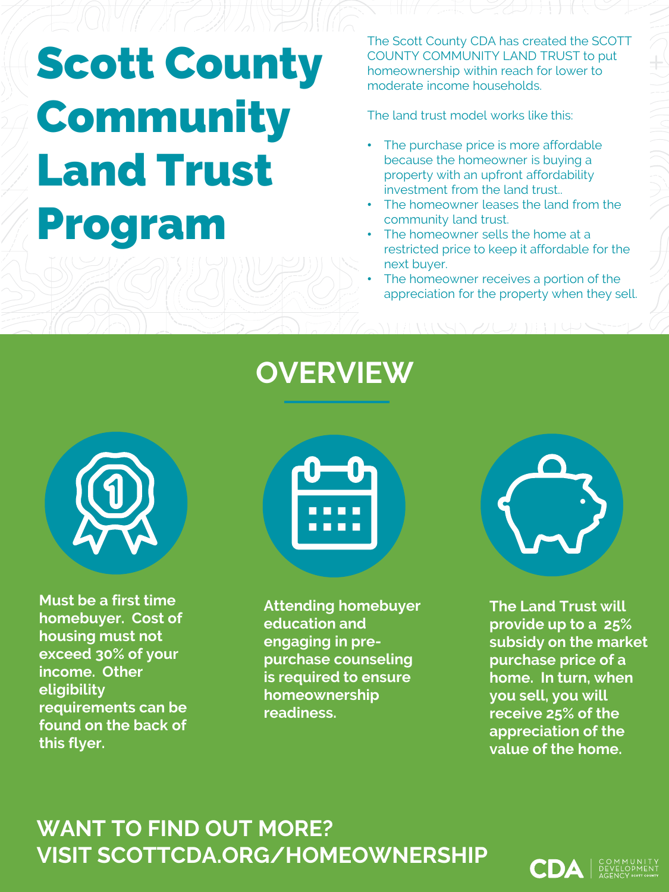# Scott County **Community** Land Trust Program

The Scott County CDA has created the SCOTT COUNTY COMMUNITY LAND TRUST to put homeownership within reach for lower to moderate income households.

The land trust model works like this:

- The purchase price is more affordable because the homeowner is buying a property with an upfront affordability investment from the land trust..
- The homeowner leases the land from the community land trust.
- The homeowner sells the home at a restricted price to keep it affordable for the next buyer.
- The homeowner receives a portion of the appreciation for the property when they sell.

### **OVERVIEW**



**Must be a first time homebuyer. Cost of housing must not exceed 30% of your income. Other eligibility requirements can be found on the back of this flyer.**



**Attending homebuyer education and engaging in prepurchase counseling is required to ensure homeownership readiness.**



**The Land Trust will provide up to a 25% subsidy on the market purchase price of a home. In turn, when you sell, you will receive 25% of the appreciation of the value of the home.**

### **WANT TO FIND OUT MORE? VISIT SCOTTCDA.ORG/HOMEOWNERSHIP**